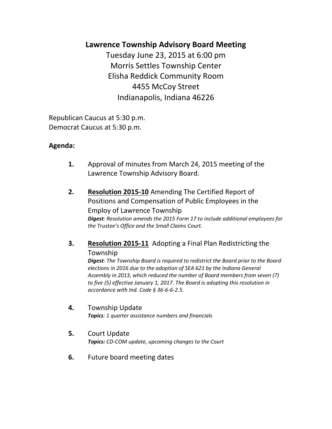# **Lawrence Township Advisory Board Meeting**

Tuesday June 23, 2015 at 6:00 pm Morris Settles Township Center Elisha Reddick Community Room 4455 McCoy Street Indianapolis, Indiana 46226

Republican Caucus at 5:30 p.m. Democrat Caucus at 5:30 p.m.

## **Agenda:**

- **1.** Approval of minutes from March 24, 2015 meeting of the Lawrence Township Advisory Board.
- **2. Resolution 2015-10** Amending The Certified Report of Positions and Compensation of Public Employees in the Employ of Lawrence Township *Digest: Resolution amends the 2015 Form 17 to include additional employees for the Trustee's Office and the Small Claims Court.*
- **3. Resolution 2015-11** Adopting a Final Plan Redistricting the Township

*Digest: The Township Board is required to redistrict the Board prior to the Board elections in 2016 due to the adoption of SEA 621 by the Indiana General Assembly in 2013, which reduced the number of Board members from seven (7) to five (5) effective January 1, 2017. The Board is adopting this resolution in accordance with Ind. Code § 36-6-6-2.5.*

**4.** Township Update *Topics: 1 quarter assistance numbers and financials* 

### **5.** Court Update *Topics: CD-COM update, upcoming changes to the Court*

**6.** Future board meeting dates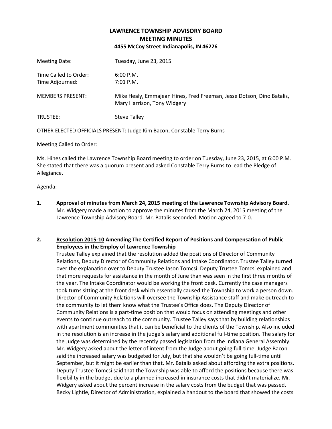#### **LAWRENCE TOWNSHIP ADVISORY BOARD MEETING MINUTES 4455 McCoy Street Indianapolis, IN 46226**

| Meeting Date:                            | Tuesday, June 23, 2015                                                                               |
|------------------------------------------|------------------------------------------------------------------------------------------------------|
| Time Called to Order:<br>Time Adjourned: | 6:00 P.M.<br>$7:01$ P.M.                                                                             |
| <b>MEMBERS PRESENT:</b>                  | Mike Healy, Emmajean Hines, Fred Freeman, Jesse Dotson, Dino Batalis,<br>Mary Harrison, Tony Widgery |
| TRUSTEE:                                 | <b>Steve Talley</b>                                                                                  |

OTHER ELECTED OFFICIALS PRESENT: Judge Kim Bacon, Constable Terry Burns

Meeting Called to Order:

Ms. Hines called the Lawrence Township Board meeting to order on Tuesday, June 23, 2015, at 6:00 P.M. She stated that there was a quorum present and asked Constable Terry Burns to lead the Pledge of Allegiance.

Agenda:

**1. Approval of minutes from March 24, 2015 meeting of the Lawrence Township Advisory Board.** Mr. Widgery made a motion to approve the minutes from the March 24, 2015 meeting of the Lawrence Township Advisory Board. Mr. Batalis seconded. Motion agreed to 7-0.

#### **2. Resolution 2015-10 Amending The Certified Report of Positions and Compensation of Public Employees in the Employ of Lawrence Township**

Trustee Talley explained that the resolution added the positions of Director of Community Relations, Deputy Director of Community Relations and Intake Coordinator. Trustee Talley turned over the explanation over to Deputy Trustee Jason Tomcsi. Deputy Trustee Tomcsi explained and that more requests for assistance in the month of June than was seen in the first three months of the year. The Intake Coordinator would be working the front desk. Currently the case managers took turns sitting at the front desk which essentially caused the Township to work a person down. Director of Community Relations will oversee the Township Assistance staff and make outreach to the community to let them know what the Trustee's Office does. The Deputy Director of Community Relations is a part-time position that would focus on attending meetings and other events to continue outreach to the community. Trustee Talley says that by building relationships with apartment communities that it can be beneficial to the clients of the Township. Also included in the resolution is an increase in the judge's salary and additional full-time position. The salary for the Judge was determined by the recently passed legislation from the Indiana General Assembly. Mr. Widgery asked about the letter of intent from the Judge about going full-time. Judge Bacon said the increased salary was budgeted for July, but that she wouldn't be going full-time until September, but it might be earlier than that. Mr. Batalis asked about affording the extra positions. Deputy Trustee Tomcsi said that the Township was able to afford the positions because there was flexibility in the budget due to a planned increased in insurance costs that didn't materialize. Mr. Widgery asked about the percent increase in the salary costs from the budget that was passed. Becky Lightle, Director of Administration, explained a handout to the board that showed the costs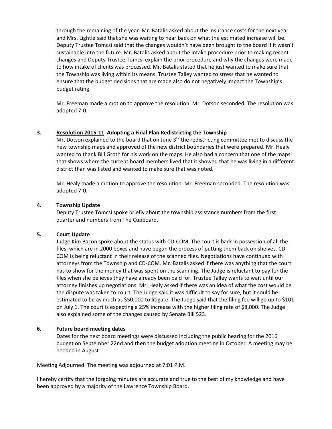through the remaining of the year. Mr. Batalis asked about the insurance costs for the next year and Mrs. Lightle said that she was waiting to hear back on what the estimated increase will be. Deputy Trustee Tomcsi said that the changes wouldn't have been brought to the board if it wasn't sustainable into the future. Mr. Batalis asked about the intake procedure prior to making recent changes and Deputy Trustee Tomcsi explain the prior procedure and why the changes were made to how intake of clients was processed. Mr. Batalis stated that he just wanted to make sure that the Township was living within its means. Trustee Talley wanted to stress that he wanted to ensure that the budget decisions that are made also do not negatively impact the Township's budget rating.

Mr. Freeman made a motion to approve the resolution. Mr. Dotson seconded. The resolution was adopted 7-0.

#### **3. Resolution 2015-11 Adopting a Final Plan Redistricting the Township**

Mr. Dotson explained to the board that on June  $3<sup>rd</sup>$  the redistricting committee met to discuss the new township maps and approved of the new district boundaries that were prepared. Mr. Healy wanted to thank Bill Groth for his work on the maps. He also had a concern that one of the maps that shows where the current board members lived that it showed that he was living in a different district than was listed and wanted to make sure that was noted.

Mr. Healy made a motion to approve the resolution. Mr. Freeman seconded. The resolution was adopted 7-0.

#### **4. Township Update**

Deputy Trustee Tomcsi spoke briefly about the township assistance numbers from the first quarter and numbers from The Cupboard.

#### **5. Court Update**

Judge Kim Bacon spoke about the status with CD-COM. The court is back in possession of all the files, which are in 2000 boxes and have begun the process of putting them back on shelves. CD-COM is being reluctant in their release of the scanned files. Negotiations have continued with attorneys from the Township and CD-COM. Mr. Batalis asked if there was anything that the court has to show for the money that was spent on the scanning. The Judge is reluctant to pay for the files when she believes they have already been paid for. Trustee Talley wants to wait until our attorney finishes up negotiations. Mr. Healy asked if there was an idea of what the cost would be the dispute was taken to court. The Judge said it was difficult to say for sure, but it could be estimated to be as much as \$50,000 to litigate. The Judge said that the filing fee will go up to \$101 on July 1. The court is expecting a 25% increase with the higher filing rate of \$8,000. The Judge also explained some of the changes caused by Senate Bill 523.

#### **6. Future board meeting dates**

Dates for the next board meetings were discussed including the public hearing for the 2016 budget on September 22nd and then the budget adoption meeting in October. A meeting may be needed in August.

Meeting Adjourned: The meeting was adjourned at 7:01 P.M.

I hereby certify that the forgoing minutes are accurate and true to the best of my knowledge and have been approved by a majority of the Lawrence Township Board.